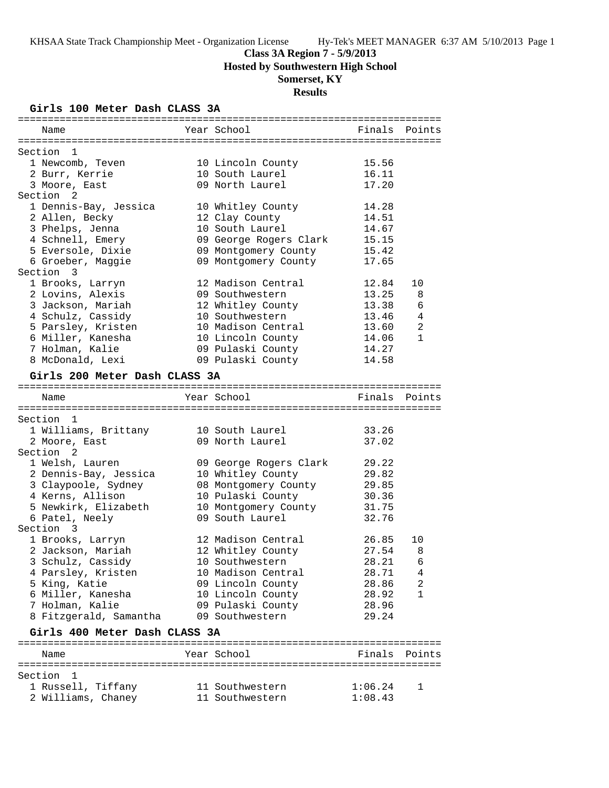**Class 3A Region 7 - 5/9/2013**

**Hosted by Southwestern High School**

# **Somerset, KY**

# **Results**

# **Girls 100 Meter Dash CLASS 3A**

| Name                            | Year School            |                    | Finals Points |
|---------------------------------|------------------------|--------------------|---------------|
|                                 |                        |                    |               |
| Section 1                       |                        |                    |               |
| 1 Newcomb, Teven                | 10 Lincoln County      | 15.56              |               |
| 2 Burr, Kerrie                  | 10 South Laurel        | 16.11              |               |
| 3 Moore, East                   | 09 North Laurel        | 17.20              |               |
| Section 2                       |                        |                    |               |
| 1 Dennis-Bay, Jessica           | 10 Whitley County      | 14.28              |               |
| 2 Allen, Becky                  | 12 Clay County         | 14.51              |               |
| 3 Phelps, Jenna                 | 10 South Laurel        | 14.67              |               |
| 4 Schnell, Emery                | 09 George Rogers Clark | 15.15              |               |
| 5 Eversole, Dixie               | 09 Montgomery County   | 15.42              |               |
| 6 Groeber, Maggie               | 09 Montgomery County   | 17.65              |               |
| Section 3                       |                        |                    |               |
| 1 Brooks, Larryn                | 12 Madison Central     | 12.84              | 10            |
| 2 Lovins, Alexis                | 09 Southwestern        | 13.25              | 8             |
| 3 Jackson, Mariah               | 12 Whitley County      | 13.38              | 6             |
| 4 Schulz, Cassidy               | 10 Southwestern        | 13.46              | 4             |
| 5 Parsley, Kristen              | 10 Madison Central     | 13.60              | 2             |
| 6 Miller, Kanesha               | 10 Lincoln County      | 14.06              | $\mathbf{1}$  |
| 7 Holman, Kalie                 | 09 Pulaski County      | 14.27              |               |
| 8 McDonald, Lexi                | 09 Pulaski County      | 14.58              |               |
| Girls 200 Meter Dash CLASS 3A   |                        |                    |               |
| Name                            | Year School            |                    | Finals Points |
|                                 |                        |                    |               |
| Section 1                       |                        |                    |               |
| 1 Williams, Brittany            | 10 South Laurel        | 33.26              |               |
| 2 Moore, East                   | 09 North Laurel        | 37.02              |               |
| Section <sub>2</sub>            |                        |                    |               |
| 1 Welsh, Lauren                 | 09 George Rogers Clark | 29.22              |               |
| 2 Dennis-Bay, Jessica           | 10 Whitley County      | 29.82              |               |
| 3 Claypoole, Sydney             | 08 Montgomery County   | 29.85              |               |
| 4 Kerns, Allison                | 10 Pulaski County      | 30.36              |               |
| 5 Newkirk, Elizabeth            | 10 Montgomery County   | 31.75              |               |
| 6 Patel, Neely                  | 09 South Laurel        | 32.76              |               |
| Section 3                       |                        |                    |               |
| 1 Brooks, Larryn                | 12 Madison Central     | 26.85              | 10            |
| 2 Jackson, Mariah               | 12 Whitley County      | 27.54              | 8             |
| 3 Schulz, Cassidy               | 10 Southwestern        | 28.21              | 6             |
| 4 Parsley, Kristen              | 10 Madison Central     | 28.71              | 4             |
| 5 King, Katie                   | 09 Lincoln County      | 28.86              | 2             |
| 6 Miller, Kanesha               | 10 Lincoln County      | 28.92              | 1             |
| 7 Holman, Kalie                 | 09 Pulaski County      | 28.96              |               |
| 8 Fitzgerald, Samantha          | 09 Southwestern        | 29.24              |               |
| Girls 400 Meter Dash CLASS 3A   |                        |                    |               |
|                                 |                        |                    |               |
| Name                            | Year School            |                    | Finals Points |
|                                 |                        |                    |               |
| Section 1<br>1 Russell, Tiffany | 11 Southwestern        |                    |               |
|                                 | 11 Southwestern        | 1:06.24<br>1:08.43 | 1             |
| 2 Williams, Chaney              |                        |                    |               |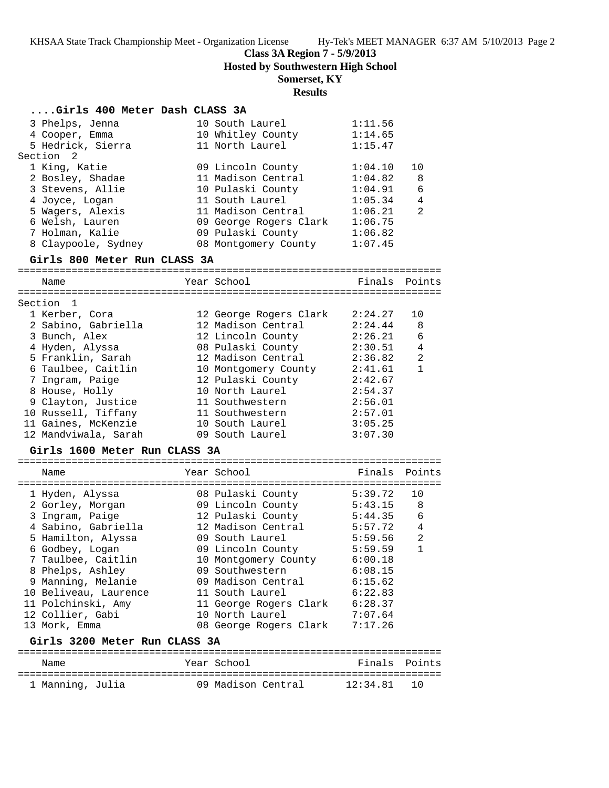**Class 3A Region 7 - 5/9/2013**

**Hosted by Southwestern High School**

## **Somerset, KY**

### **Results**

#### **....Girls 400 Meter Dash CLASS 3A**

| 3 Phelps, Jenna     | 10 South Laurel        | 1:11.56 |                |
|---------------------|------------------------|---------|----------------|
| 4 Cooper, Emma      | 10 Whitley County      | 1:14.65 |                |
| 5 Hedrick, Sierra   | 11 North Laurel        | 1:15.47 |                |
| Section 2           |                        |         |                |
| 1 King, Katie       | 09 Lincoln County      | 1:04.10 | 10             |
| 2 Bosley, Shadae    | 11 Madison Central     | 1:04.82 | - 8            |
| 3 Stevens, Allie    | 10 Pulaski County      | 1:04.91 | 6              |
| 4 Joyce, Logan      | 11 South Laurel        | 1:05.34 | 4              |
| 5 Wagers, Alexis    | 11 Madison Central     | 1:06.21 | $\overline{2}$ |
| 6 Welsh, Lauren     | 09 George Rogers Clark | 1:06.75 |                |
| 7 Holman, Kalie     | 09 Pulaski County      | 1:06.82 |                |
| 8 Claypoole, Sydney | 08 Montgomery County   | 1:07.45 |                |
|                     |                        |         |                |

#### **Girls 800 Meter Run CLASS 3A**

======================================================================= Name The Year School Team Points Points ======================================================================= Section 1 1 Kerber, Cora 12 George Rogers Clark 2:24.27 10 2 Sabino, Gabriella 12 Madison Central 2:24.44 8 3 Bunch, Alex 12 Lincoln County 2:26.21 6 4 Hyden, Alyssa 08 Pulaski County 2:30.51 4 5 Franklin, Sarah 12 Madison Central 2:36.82 2 6 Taulbee, Caitlin 10 Montgomery County 2:41.61 1 7 Ingram, Paige 12 Pulaski County 2:42.67 8 House, Holly 10 North Laurel 2:54.37 9 Clayton, Justice 11 Southwestern 2:56.01 10 Russell, Tiffany 11 Southwestern 2:57.01 11 Gaines, McKenzie 10 South Laurel 3:05.25 12 Mandviwala, Sarah 09 South Laurel 3:07.30

#### **Girls 1600 Meter Run CLASS 3A**

| Name                          |  | Year School            | Finals  | Points       |  |  |  |  |
|-------------------------------|--|------------------------|---------|--------------|--|--|--|--|
|                               |  |                        |         |              |  |  |  |  |
| 1 Hyden, Alyssa               |  | 08 Pulaski County      | 5:39.72 | 10           |  |  |  |  |
| 2 Gorley, Morgan              |  | 09 Lincoln County      | 5:43.15 | 8            |  |  |  |  |
| 3 Ingram, Paige               |  | 12 Pulaski County      | 5:44.35 | 6            |  |  |  |  |
| 4 Sabino, Gabriella           |  | 12 Madison Central     | 5:57.72 | 4            |  |  |  |  |
| 5 Hamilton, Alyssa            |  | 09 South Laurel        | 5:59.56 | 2            |  |  |  |  |
| 6 Godbey, Logan               |  | 09 Lincoln County      | 5:59.59 | $\mathbf{1}$ |  |  |  |  |
| 7 Taulbee, Caitlin            |  | 10 Montgomery County   | 6:00.18 |              |  |  |  |  |
| 8 Phelps, Ashley              |  | 09 Southwestern        | 6:08.15 |              |  |  |  |  |
| 9 Manning, Melanie            |  | 09 Madison Central     | 6:15.62 |              |  |  |  |  |
| 10 Beliveau, Laurence         |  | 11 South Laurel        | 6:22.83 |              |  |  |  |  |
| 11 Polchinski, Amy            |  | 11 George Rogers Clark | 6:28.37 |              |  |  |  |  |
| 12 Collier, Gabi              |  | 10 North Laurel        | 7:07.64 |              |  |  |  |  |
| 13 Mork, Emma                 |  | 08 George Rogers Clark | 7:17.26 |              |  |  |  |  |
| Girls 3200 Meter Run CLASS 3A |  |                        |         |              |  |  |  |  |

### ======================================================================= Name Tear School Tear School Finals Points ======================================================================= 1 Manning, Julia 09 Madison Central 12:34.81 10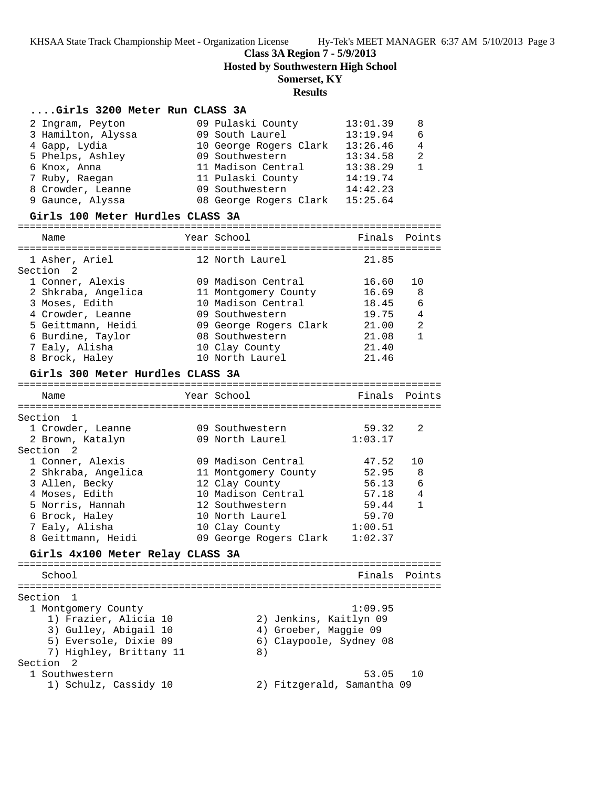**Class 3A Region 7 - 5/9/2013**

**Hosted by Southwestern High School**

# **Somerset, KY**

# **Results**

# **....Girls 3200 Meter Run CLASS 3A**

| 2 Ingram, Peyton   | 09 Pulaski County      | 13:01.39 | 8 |
|--------------------|------------------------|----------|---|
| 3 Hamilton, Alyssa | 09 South Laurel        | 13:19.94 | 6 |
| 4 Gapp, Lydia      | 10 George Rogers Clark | 13:26.46 | 4 |
| 5 Phelps, Ashley   | 09 Southwestern        | 13:34.58 | 2 |
| 6 Knox, Anna       | 11 Madison Central     | 13:38.29 |   |
| 7 Ruby, Raegan     | 11 Pulaski County      | 14:19.74 |   |
| 8 Crowder, Leanne  | 09 Southwestern        | 14:42.23 |   |
| 9 Gaunce, Alyssa   | 08 George Rogers Clark | 15:25.64 |   |
|                    |                        |          |   |

# **Girls 100 Meter Hurdles CLASS 3A**

|         | Name                             | Year School                          | Finals         | Points       |
|---------|----------------------------------|--------------------------------------|----------------|--------------|
|         | 1 Asher, Ariel<br>Section 2      | 12 North Laurel                      | 21.85          |              |
|         | 1 Conner, Alexis                 | 09 Madison Central                   | 16.60          | 10           |
|         | 2 Shkraba, Angelica              | 11 Montgomery County                 | 16.69          | 8            |
|         | 3 Moses, Edith                   | 10 Madison Central                   | 18.45          | 6            |
|         | 4 Crowder, Leanne                | 09 Southwestern                      | 19.75          | 4            |
|         | 5 Geittmann, Heidi               | 09 George Rogers Clark               | 21.00          | 2            |
|         | 6 Burdine, Taylor                | 08 Southwestern                      | 21.08          | $\mathbf{1}$ |
|         | 7 Ealy, Alisha                   | 10 Clay County                       | 21.40          |              |
|         | 8 Brock, Haley                   | 10 North Laurel                      | 21.46          |              |
|         | Girls 300 Meter Hurdles CLASS 3A |                                      |                |              |
|         | Name                             | Year School                          | Finals         | Points       |
|         |                                  |                                      |                |              |
|         | Section 1                        |                                      |                |              |
|         | 1 Crowder, Leanne                | 09 Southwestern                      | 59.32          | 2            |
|         | 2 Brown, Katalyn                 | 09 North Laurel                      | 1:03.17        |              |
|         | Section<br>2                     |                                      |                |              |
|         | 1 Conner, Alexis                 | 09 Madison Central                   | 47.52          | 10           |
|         | 2 Shkraba, Angelica              | 11 Montgomery County                 | 52.95          | 8            |
|         | 3 Allen, Becky                   | 12 Clay County<br>10 Madison Central | 56.13<br>57.18 | 6            |
|         | 4 Moses, Edith                   | 12 Southwestern                      | 59.44          | 4<br>1       |
|         | 5 Norris, Hannah                 | 10 North Laurel                      | 59.70          |              |
|         | 6 Brock, Haley<br>7 Ealy, Alisha | 10 Clay County                       | 1:00.51        |              |
|         | 8 Geittmann, Heidi               | 09 George Rogers Clark               | 1:02.37        |              |
|         | Girls 4x100 Meter Relay CLASS 3A |                                      |                |              |
|         |                                  |                                      |                |              |
|         | School                           |                                      | Finals         | Points       |
|         |                                  |                                      |                |              |
| Section | 1                                |                                      |                |              |
|         | 1 Montgomery County              |                                      | 1:09.95        |              |
|         | 1) Frazier, Alicia 10            | 2) Jenkins, Kaitlyn 09               |                |              |
|         | 3) Gulley, Abigail 10            | 4) Groeber, Maggie 09                |                |              |
|         | 5) Eversole, Dixie 09            | 6) Claypoole, Sydney 08              |                |              |
|         | 7) Highley, Brittany 11          | $8)$                                 |                |              |

# Section 2

| 1 Southwestern        |                            | 53.05 10 |  |
|-----------------------|----------------------------|----------|--|
| 1) Schulz, Cassidy 10 | 2) Fitzgerald, Samantha 09 |          |  |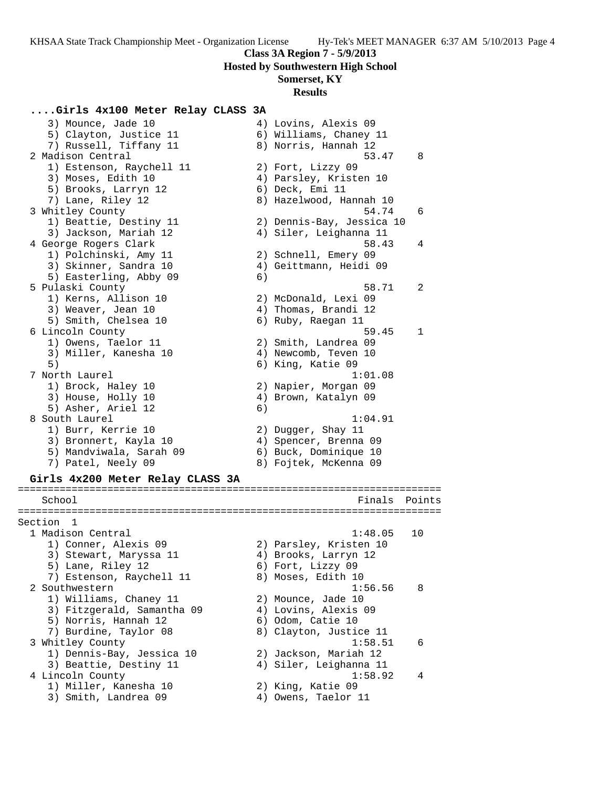### **Class 3A Region 7 - 5/9/2013**

**Hosted by Southwestern High School**

## **Somerset, KY**

#### **Results**

 3) Mounce, Jade 10 4) Lovins, Alexis 09 5) Clayton, Justice 11 6) Williams, Chaney 11 7) Russell, Tiffany 11  $\qquad \qquad 8)$  Norris, Hannah 12 2 Madison Central 53.47 8

**....Girls 4x100 Meter Relay CLASS 3A**

- 1) Estenson, Raychell 11 2) Fort, Lizzy 09 3) Moses, Edith 10 4) Parsley, Kristen 10
- 5) Brooks, Larryn 12 6) Deck, Emi 11 7) Lane, Riley 12 8) Hazelwood, Hannah 10
- 3 Whitley County 54.74 6 1) Beattie, Destiny 11 2) Dennis-Bay, Jessica 10 3) Jackson, Mariah 12 4) Siler, Leighanna 11 4 George Rogers Clark 58.43 4
- 1) Polchinski, Amy 11 2) Schnell, Emery 09 3) Skinner, Sandra 10 4) Geittmann, Heidi 09
- 5) Easterling, Abby 09 6)
- 5 Pulaski County 58.71 2
- 1) Kerns, Allison 10 2) McDonald, Lexi 09 3) Weaver, Jean 10 (4) Thomas, Brandi 12
- 5) Smith, Chelsea 10 6) Ruby, Raegan 11
	-
- 6 Lincoln County 59.45 1 1) Owens, Taelor 11 2) Smith, Landrea 09
- 3) Miller, Kanesha 10  $\hskip1cm 4$ ) Newcomb, Teven 10 5) 6) King, Katie 09
- 7 North Laurel 1:01.08 1) Brock, Haley 10 2) Napier, Morgan 09
- 3) House, Holly 10  $\hskip1cm$  4) Brown, Katalyn 09
- 5) Asher, Ariel 12 (6)
- 8 South Laurel 2012 1:04.91
- 1) Burr, Kerrie 10 2) Dugger, Shay 11
- 3) Bronnert, Kayla 10 4) Spencer, Brenna 09
- 5) Mandviwala, Sarah 09 6) Buck, Dominique 10
- 7) Patel, Neely 09 8) Fojtek, McKenna 09
- **Girls 4x200 Meter Relay CLASS 3A**

# ======================================================================= School **Finals** Points **Points**

======================================================================= Section 1

- 1 Madison Central 2008 1:48.05 10 1) Conner, Alexis 09 2) Parsley, Kristen 10 3) Stewart, Maryssa 11  $\hskip1cm \hskip 4.6 cm 4$ ) Brooks, Larryn 12 5) Lane, Riley 12 6) Fort, Lizzy 09 7) Estenson, Raychell 11 and 8) Moses, Edith 10 2 Southwestern 2008 and 2 Southwestern 2 Southwestern 2 Southwestern 2 Southwestern 2 Southwestern 2 Southwestern 2 Southwestern 2 Southwestern 2 Southwestern 2 Southwestern 2 Southwestern 2 Southwestern 2 Southwestern 2 S 1) Williams, Chaney 11 2) Mounce, Jade 10 3) Fitzgerald, Samantha 09 4) Lovins, Alexis 09 5) Norris, Hannah 12 (6) Odom, Catie 10 7) Burdine, Taylor 08 8) Clayton, Justice 11 3 Whitley County 1:58.51 6 1) Dennis-Bay, Jessica 10 2) Jackson, Mariah 12 3) Beattie, Destiny 11 4) Siler, Leighanna 11 4 Lincoln County 1:58.92 4 1) Miller, Kanesha 10 2) King, Katie 09 3) Smith, Landrea 09 4) Owens, Taelor 11
	-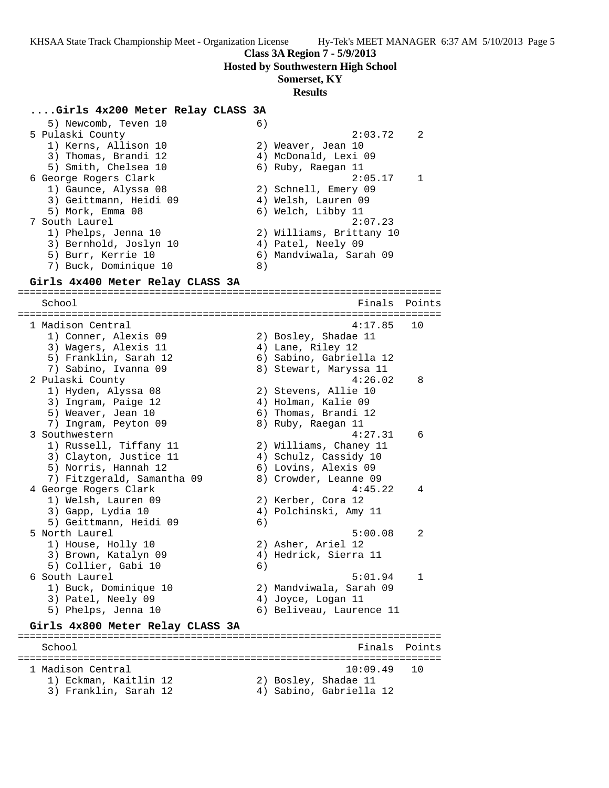**Class 3A Region 7 - 5/9/2013**

**Hosted by Southwestern High School**

### **Somerset, KY**

#### **Results**

#### **....Girls 4x200 Meter Relay CLASS 3A**

5) Newcomb, Teven 10 6) 5 Pulaski County 2:03.72 2 1) Kerns, Allison 10 2) Weaver, Jean 10 3) Thomas, Brandi 12 4) McDonald, Lexi 09 5) Smith, Chelsea 10 6) Ruby, Raegan 11 6 George Rogers Clark 2:05.17 1 1) Gaunce, Alyssa 08 2) Schnell, Emery 09 3) Geittmann, Heidi 09 4) Welsh, Lauren 09 5) Mork, Emma 08 6) Welch, Libby 11 7 South Laurel 2:07.23 1) Phelps, Jenna 10 2) Williams, Brittany 10 3) Bernhold, Joslyn 10 (4) Patel, Neely 09 5) Burr, Kerrie 10 6) Mandviwala, Sarah 09 7) Buck, Dominique 10 8)

### **Girls 4x400 Meter Relay CLASS 3A**

======================================================================= School **Finals** Points ======================================================================= 1 Madison Central 4:17.85 10 1) Conner, Alexis 09 2) Bosley, Shadae 11 3) Wagers, Alexis 11 (4) Lane, Riley 12 5) Franklin, Sarah 12 6) Sabino, Gabriella 12 7) Sabino, Ivanna 09 8) Stewart, Maryssa 11 2 Pulaski County 4:26.02 8 1) Hyden, Alyssa 08 2) Stevens, Allie 10 3) Ingram, Paige 12 4) Holman, Kalie 09 5) Weaver, Jean 10  $\qquad \qquad$  6) Thomas, Brandi 12 7) Ingram, Peyton 09 8) Ruby, Raegan 11 3 Southwestern 4:27.31 6 1) Russell, Tiffany 11 2) Williams, Chaney 11 3) Clayton, Justice 11 4) Schulz, Cassidy 10 5) Norris, Hannah 12 6) Lovins, Alexis 09 7) Fitzgerald, Samantha 09 8) Crowder, Leanne 09 4 George Rogers Clark 4:45.22 4 1) Welsh, Lauren 09 2) Kerber, Cora 12 3) Gapp, Lydia 10 4) Polchinski, Amy 11 5) Geittmann, Heidi 09 (6) 5 North Laurel 5:00.08 2 1) House, Holly 10 2) Asher, Ariel 12 3) Brown, Katalyn 09 4) Hedrick, Sierra 11 5) Collier, Gabi 10 6) 6 South Laurel 5:01.94 1 1) Buck, Dominique 10 2) Mandviwala, Sarah 09 3) Patel, Neely 09  $\hskip1cm \hskip1cm 4$ ) Joyce, Logan 11 5) Phelps, Jenna 10 6) Beliveau, Laurence 11 **Girls 4x800 Meter Relay CLASS 3A** ======================================================================= School **Finals** Points Points Points Points Points Points Points Points Points Points Points Points Points Points Points Points Points Points Points Points Points Points Points Points Points Points Points Points Points Poi ======================================================================= 1 Madison Central 10:09.49 10 1) Eckman, Kaitlin 12 2) Bosley, Shadae 11 3) Franklin, Sarah 12 4) Sabino, Gabriella 12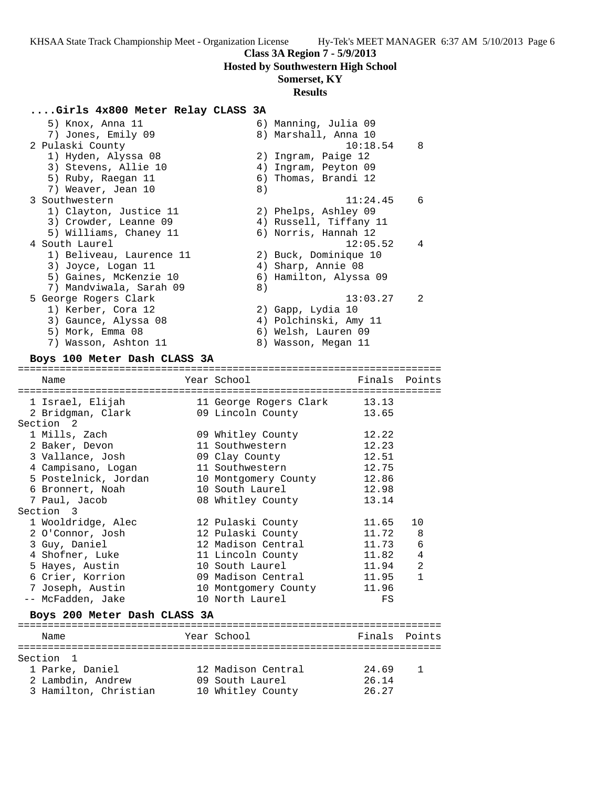# **Class 3A Region 7 - 5/9/2013**

**Hosted by Southwestern High School**

# **Somerset, KY**

#### **Results**

### **....Girls 4x800 Meter Relay CLASS 3A**

| 5) Knox, Anna 11         | 6) Manning, Julia 09   |
|--------------------------|------------------------|
| 7) Jones, Emily 09       | 8) Marshall, Anna 10   |
| 2 Pulaski County         | - 8<br>10:18.54        |
| 1) Hyden, Alyssa 08      | 2) Ingram, Paige 12    |
| 3) Stevens, Allie 10     | 4) Ingram, Peyton 09   |
| 5) Ruby, Raegan 11       | 6) Thomas, Brandi 12   |
| 7) Weaver, Jean 10       | 8)                     |
| 3 Southwestern           | 11:24.45<br>- 6        |
| 1) Clayton, Justice 11   | 2) Phelps, Ashley 09   |
| 3) Crowder, Leanne 09    | 4) Russell, Tiffany 11 |
| 5) Williams, Chaney 11   | 6) Norris, Hannah 12   |
| 4 South Laurel           | 12:05.52<br>4          |
| 1) Beliveau, Laurence 11 | 2) Buck, Dominique 10  |
| 3) Joyce, Logan 11       | 4) Sharp, Annie 08     |
| 5) Gaines, McKenzie 10   | 6) Hamilton, Alyssa 09 |
| 7) Mandviwala, Sarah 09  | 8)                     |
| 5 George Rogers Clark    | 13:03.27<br>2          |
| 1) Kerber, Cora 12       | 2) Gapp, Lydia 10      |
| 3) Gaunce, Alyssa 08     | 4) Polchinski, Amy 11  |
| 5) Mork, Emma 08         | 6) Welsh, Lauren 09    |
| 7) Wasson, Ashton 11     | 8) Wasson, Megan 11    |

#### **Boys 100 Meter Dash CLASS 3A**

=======================================================================  $Finals$  Point

| Name                                   | rear pchool                                     | r Tugts       | POINCS       |
|----------------------------------------|-------------------------------------------------|---------------|--------------|
| 1 Israel, Elijah                       | 11 George Rogers Clark                          | 13.13         |              |
| 2 Bridgman, Clark                      | 09 Lincoln County                               | 13.65         |              |
| Section <sub>2</sub>                   |                                                 |               |              |
| 1 Mills, Zach                          | 09 Whitley County                               | 12.22         |              |
| 2 Baker, Devon                         | 11 Southwestern                                 | 12.23         |              |
| 3 Vallance, Josh                       | 09 Clay County                                  | 12.51         |              |
| 4 Campisano, Logan                     | 11 Southwestern                                 | 12.75         |              |
| 5 Postelnick, Jordan                   | 10 Montgomery County                            | 12.86         |              |
| 6 Bronnert, Noah                       | 10 South Laurel                                 | 12.98         |              |
| 7 Paul, Jacob                          | 08 Whitley County                               | 13.14         |              |
| Section 3                              |                                                 |               |              |
| 1 Wooldridge, Alec                     | 12 Pulaski County                               | 11.65         | 10           |
| 2 O'Connor, Josh                       | 12 Pulaski County                               | 11.72         | 8            |
| 3 Guy, Daniel                          | 12 Madison Central                              | 11.73         | $\epsilon$   |
| 4 Shofner, Luke                        | 11 Lincoln County                               | 11.82         | 4            |
| 5 Hayes, Austin                        | 10 South Laurel                                 | 11.94         | 2            |
| 6 Crier, Korrion                       | 09 Madison Central                              | 11.95         | $\mathbf{1}$ |
| 7 Joseph, Austin                       | 10 Montgomery County                            | 11.96         |              |
| -- McFadden, Jake                      | 10 North Laurel                                 | FS            |              |
| Boys 200 Meter Dash CLASS 3A           |                                                 |               |              |
| Name                                   | ================================<br>Year School | Finals Points |              |
| :==========<br>======================= | ===================================             |               |              |
| Section<br>$\overline{1}$              |                                                 |               |              |
| 1 Parke, Daniel                        | 12 Madison Central                              | 24.69         | $\mathbf{1}$ |

 2 Lambdin, Andrew 09 South Laurel 26.14 3 Hamilton, Christian 10 Whitley County 26.27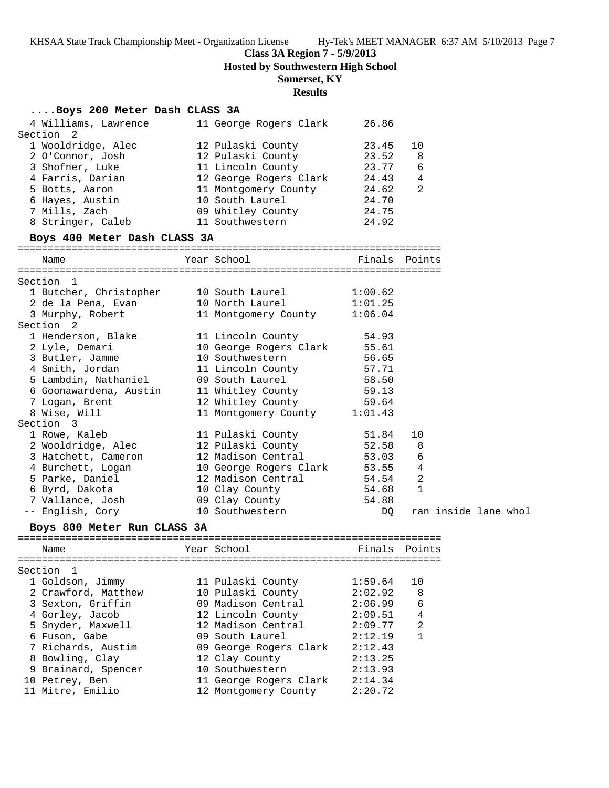# **Class 3A Region 7 - 5/9/2013**

**Hosted by Southwestern High School**

# **Somerset, KY**

# **Results**

# **....Boys 200 Meter Dash CLASS 3A**

| 4 Williams, Lawrence                   | 11 George Rogers Clark                                     | 26.86          |                |                      |  |
|----------------------------------------|------------------------------------------------------------|----------------|----------------|----------------------|--|
| Section<br>2                           |                                                            | 23.45          | 10             |                      |  |
| 1 Wooldridge, Alec<br>2 O'Connor, Josh | 12 Pulaski County                                          | 23.52          | 8              |                      |  |
| 3 Shofner, Luke                        | 12 Pulaski County<br>11 Lincoln County                     | 23.77          | 6              |                      |  |
| 4 Farris, Darian                       |                                                            |                | $\overline{4}$ |                      |  |
| 5 Botts, Aaron                         | 12 George Rogers Clark                                     | 24.43<br>24.62 | 2              |                      |  |
| 6 Hayes, Austin                        | 11 Montgomery County<br>10 South Laurel<br>10 South Laurel | 24.70          |                |                      |  |
| 7 Mills, Zach                          | 09 Whitley County 24.75                                    |                |                |                      |  |
| 8 Stringer, Caleb                      | 11 Southwestern                                            | 24.92          |                |                      |  |
|                                        |                                                            |                |                |                      |  |
| Boys 400 Meter Dash CLASS 3A           |                                                            |                |                |                      |  |
| Name                                   | Year School                                                | Finals Points  |                |                      |  |
| Section 1                              |                                                            |                |                |                      |  |
| 1 Butcher, Christopher                 | 10 South Laurel                                            | 1:00.62        |                |                      |  |
| 2 de la Pena, Evan                     | 10 North Laurel                                            | 1:01.25        |                |                      |  |
| 3 Murphy, Robert                       | 11 Montgomery County 1:06.04                               |                |                |                      |  |
| Section <sub>2</sub>                   |                                                            |                |                |                      |  |
| 1 Henderson, Blake                     | 11 Lincoln County                                          | 54.93          |                |                      |  |
| 2 Lyle, Demari                         | 10 George Rogers Clark 55.61                               |                |                |                      |  |
| 3 Butler, Jamme                        | 10 Southwestern                                            | 56.65          |                |                      |  |
| 4 Smith, Jordan                        | 11 Lincoln County                                          | 57.71<br>58.50 |                |                      |  |
| 5 Lambdin, Nathaniel                   | 09 South Laurel                                            |                |                |                      |  |
| 6 Goonawardena, Austin                 | 11 Whitley County 59.13                                    |                |                |                      |  |
| 7 Logan, Brent                         | 12 Whitley County 59.64                                    |                |                |                      |  |
| 8 Wise, Will                           | 11 Montgomery County 1:01.43                               |                |                |                      |  |
| Section 3                              |                                                            |                |                |                      |  |
| 1 Rowe, Kaleb                          | 11 Pulaski County                                          | 51.84          | 10             |                      |  |
| 2 Wooldridge, Alec                     | 12 Pulaski County                                          | 52.58          | 8              |                      |  |
| 3 Hatchett, Cameron                    | 12 Madison Central                                         | 53.03          | 6              |                      |  |
| 4 Burchett, Logan                      | 10 George Rogers Clark 53.55                               |                | 4              |                      |  |
| 5 Parke, Daniel                        | 12 Madison Central                                         | 54.54          | $\overline{2}$ |                      |  |
| 6 Byrd, Dakota                         | 10 Clay County                                             | 54.68          | $\mathbf{1}$   |                      |  |
| 7 Vallance, Josh                       | 09 Clay County                                             | 54.88          |                |                      |  |
| -- English, Cory                       | 10 Southwestern                                            | DQ             |                | ran inside lane whol |  |
| Boys 800 Meter Run CLASS 3A            |                                                            |                |                |                      |  |
| Name                                   | Year School States School                                  | Finals Points  |                |                      |  |
| Section 1                              |                                                            |                |                |                      |  |
| 1 Goldson, Jimmy                       | 11 Pulaski County                                          | 1:59.64        | 10             |                      |  |
| 2 Crawford, Matthew                    | 10 Pulaski County                                          | 2:02.92        | 8              |                      |  |
| 3 Sexton, Griffin                      | 09 Madison Central                                         | 2:06.99        | 6              |                      |  |
| 4 Gorley, Jacob                        | 12 Lincoln County                                          | 2:09.51        | 4              |                      |  |
| 5 Snyder, Maxwell                      | 12 Madison Central                                         | 2:09.77        | $\overline{a}$ |                      |  |
| 6 Fuson, Gabe                          | 09 South Laurel                                            | 2:12.19        | $\mathbf{1}$   |                      |  |
| 7 Richards, Austim                     | 09 George Rogers Clark                                     | 2:12.43        |                |                      |  |
| 8 Bowling, Clay                        | 12 Clay County                                             | 2:13.25        |                |                      |  |
| 9 Brainard, Spencer                    | 10 Southwestern                                            | 2:13.93        |                |                      |  |
| 10 Petrey, Ben                         | 11 George Rogers Clark                                     | 2:14.34        |                |                      |  |
| 11 Mitre, Emilio                       | 12 Montgomery County                                       | 2:20.72        |                |                      |  |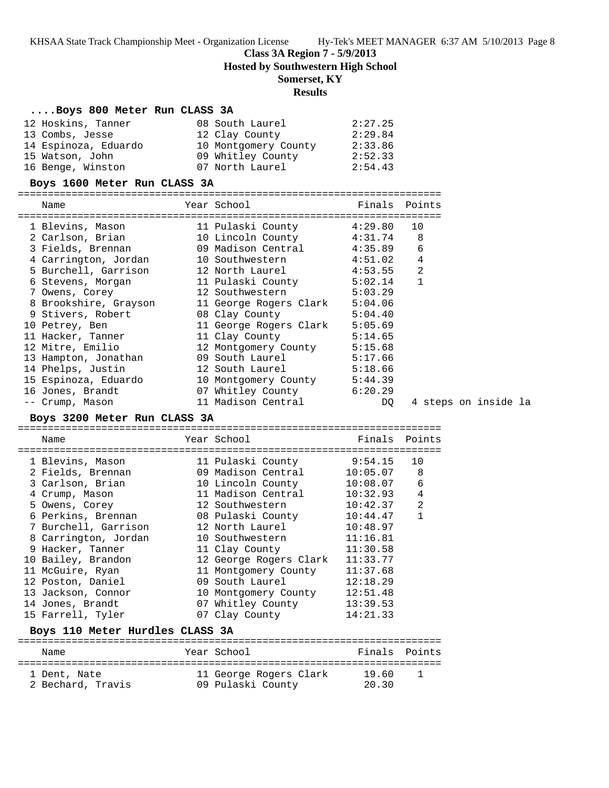# **Class 3A Region 7 - 5/9/2013**

**Hosted by Southwestern High School**

### **Somerset, KY**

### **Results**

#### **....Boys 800 Meter Run CLASS 3A**

| 12 Hoskins, Tanner   | 08 South Laurel      | 2:27.25 |
|----------------------|----------------------|---------|
| 13 Combs, Jesse      | 12 Clay County       | 2:29.84 |
| 14 Espinoza, Eduardo | 10 Montgomery County | 2:33.86 |
| 15 Watson, John      | 09 Whitley County    | 2:52.33 |
| 16 Benge, Winston    | 07 North Laurel      | 2:54.43 |

#### **Boys 1600 Meter Run CLASS 3A**

| Name                                                   | Year School in the School and the School and School | Finals Points |              |  |  |  |                      |
|--------------------------------------------------------|-----------------------------------------------------|---------------|--------------|--|--|--|----------------------|
| 1 Blevins, Mason                                       | 11 Pulaski County (1:29.80 10                       |               |              |  |  |  |                      |
| 2 Carlson, Brian                                       | 10 Lincoln County 4:31.74                           |               | 8            |  |  |  |                      |
| 3 Fields, Brennan                   09 Madison Central |                                                     | 4:35.89       | 6            |  |  |  |                      |
| 4 Carrington, Jordan                                   | 10 Southwestern                                     | 4:51.02       | 4            |  |  |  |                      |
| 5 Burchell, Garrison                                   | 12 North Laurel                                     | 4:53.55       | 2            |  |  |  |                      |
| 6 Stevens, Morgan                                      | 11 Pulaski County 5:02.14                           |               | $\mathbf{1}$ |  |  |  |                      |
| 7 Owens, Corey                                         | 12 Southwestern 5:03.29                             |               |              |  |  |  |                      |
| 8 Brookshire, Grayson                                  | 11 George Rogers Clark                              | 5:04.06       |              |  |  |  |                      |
| 9 Stivers, Robert                                      | 08 Clay County 5:04.40                              |               |              |  |  |  |                      |
| 10 Petrey, Ben                                         | 11 George Rogers Clark                              | 5:05.69       |              |  |  |  |                      |
| 11 Hacker, Tanner                                      | 11 Clay County                                      | 5:14.65       |              |  |  |  |                      |
| 12 Mitre, Emilio                                       | 12 Montgomery County                                | 5:15.68       |              |  |  |  |                      |
| 13 Hampton, Jonathan                                   | 09 South Laurel $5:17.66$                           |               |              |  |  |  |                      |
| 14 Phelps, Justin                                      | 12 South Laurel 5:18.66                             |               |              |  |  |  |                      |
| 15 Espinoza, Eduardo                                   | 10 Montgomery County 5:44.39                        |               |              |  |  |  |                      |
| 16 Jones, Brandt                                       | 07 Whitley County 6:20.29                           |               |              |  |  |  |                      |
| -- Crump, Mason                                        | 11 Madison Central                                  | DO            |              |  |  |  | 4 steps on inside la |

# **Boys 3200 Meter Run CLASS 3A**

======================================================================= Name Year School ======================================================================= 1 Blevins, Mason 11 Pulaski County 9:54.15 10 2 Fields, Brennan 09 Madison Central 10:05.07 8 3 Carlson, Brian 10 Lincoln County 10:08.07 6 4 Crump, Mason 11 Madison Central 10:32.93 4 5 Owens, Corey 12 Southwestern 10:42.37 2 6 Perkins, Brennan 08 Pulaski County 10:44.47 1 7 Burchell, Garrison 12 North Laurel 10:48.97 8 Carrington, Jordan 10 Southwestern 11:16.81 9 Hacker, Tanner 11 Clay County 11:30.58 10 Bailey, Brandon 12 George Rogers Clark 11:33.77 11 McGuire, Ryan 11 Montgomery County 11:37.68 12 Poston, Daniel 09 South Laurel 12:18.29 13 Jackson, Connor 10 Montgomery County 12:51.48 14 Jones, Brandt 07 Whitley County 13:39.53 15 Farrell, Tyler 07 Clay County 14:21.33

## **Boys 110 Meter Hurdles CLASS 3A**

| Name              | Year School |                        | Finals Points |  |
|-------------------|-------------|------------------------|---------------|--|
| 1 Dent, Nate      |             | 11 George Rogers Clark | 19 KD         |  |
| 2 Bechard, Travis |             | 09 Pulaski County      | 20.30         |  |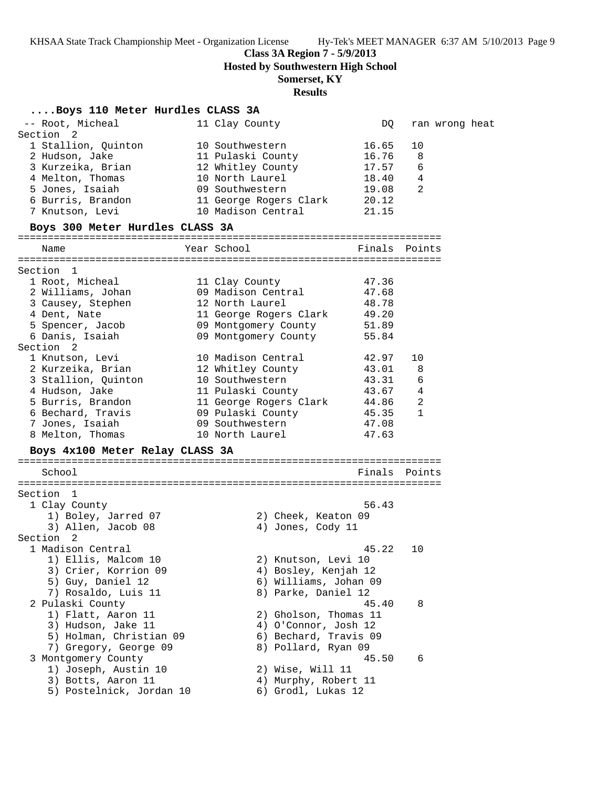**Class 3A Region 7 - 5/9/2013**

**Hosted by Southwestern High School**

# **Somerset, KY**

# **Results**

# **....Boys 110 Meter Hurdles CLASS 3A**

| -- Root, Micheal<br>Section 2   | 11 Clay County               | DQ.           |                | ran wrong heat |  |
|---------------------------------|------------------------------|---------------|----------------|----------------|--|
| 1 Stallion, Quinton             | 10 Southwestern              | 16.65         | 10             |                |  |
| 2 Hudson, Jake                  | 11 Pulaski County            | 16.76         | 8              |                |  |
| 3 Kurzeika, Brian               | 12 Whitley County            | 17.57         | 6              |                |  |
| 4 Melton, Thomas                | 10 North Laurel              | 18.40         | 4              |                |  |
| 5 Jones, Isaiah                 | 09 Southwestern              | 19.08         | 2              |                |  |
| 6 Burris, Brandon               | 11 George Rogers Clark       | 20.12         |                |                |  |
| 7 Knutson, Levi                 | 10 Madison Central           | 21.15         |                |                |  |
| Boys 300 Meter Hurdles CLASS 3A |                              |               |                |                |  |
| Name                            | Year School                  | Finals Points |                |                |  |
|                                 |                              |               |                |                |  |
| Section 1                       |                              |               |                |                |  |
| 1 Root, Micheal                 | 11 Clay County               | 47.36         |                |                |  |
| 2 Williams, Johan               | 09 Madison Central           | 47.68         |                |                |  |
| 3 Causey, Stephen               | 12 North Laurel              | 48.78         |                |                |  |
| 4 Dent, Nate                    | 11 George Rogers Clark 49.20 |               |                |                |  |
| 5 Spencer, Jacob                | 09 Montgomery County         | 51.89         |                |                |  |
| 6 Danis, Isaiah                 | 09 Montgomery County         | 55.84         |                |                |  |
| Section <sub>2</sub>            |                              |               |                |                |  |
| 1 Knutson, Levi                 | 10 Madison Central           | 42.97         | 10             |                |  |
| 2 Kurzeika, Brian               | 12 Whitley County            | 43.01         | 8              |                |  |
| 3 Stallion, Quinton             | 10 Southwestern              | 43.31         | 6              |                |  |
| 4 Hudson, Jake                  | 11 Pulaski County            | 43.67 4       |                |                |  |
| 5 Burris, Brandon               | 11 George Rogers Clark 44.86 |               | $\overline{c}$ |                |  |
| 6 Bechard, Travis               | 09 Pulaski County            | 45.35         | $\mathbf{1}$   |                |  |
| 7 Jones, Isaiah                 | 09 Southwestern              | 47.08         |                |                |  |
| 8 Melton, Thomas                | 10 North Laurel              | 47.63         |                |                |  |
| Boys 4x100 Meter Relay CLASS 3A |                              |               |                |                |  |
| School                          |                              | Finals Points |                |                |  |
| Section 1                       |                              |               |                |                |  |
| 1 Clay County                   |                              | 56.43         |                |                |  |
| 1) Boley, Jarred 07             | 2) Cheek, Keaton 09          |               |                |                |  |
| 3) Allen, Jacob 08              | 4) Jones, Cody 11            |               |                |                |  |
| Section 2                       |                              |               |                |                |  |
| 1 Madison Central               |                              | 45.22         | 10             |                |  |
| 1) Ellis, Malcom 10             | 2) Knutson, Levi 10          |               |                |                |  |
| 3) Crier, Korrion 09            | 4) Bosley, Kenjah 12         |               |                |                |  |
| 5) Guy, Daniel 12               | 6) Williams, Johan 09        |               |                |                |  |
| 7) Rosaldo, Luis 11             | 8) Parke, Daniel 12          |               |                |                |  |
| 2 Pulaski County                |                              | 45.40         | 8              |                |  |
| 1) Flatt, Aaron 11              | 2) Gholson, Thomas 11        |               |                |                |  |
| 3) Hudson, Jake 11              | 4) O'Connor, Josh 12         |               |                |                |  |
| 5) Holman, Christian 09         | 6) Bechard, Travis 09        |               |                |                |  |
| 7) Gregory, George 09           | 8) Pollard, Ryan 09          |               |                |                |  |
| 3 Montgomery County             |                              | 45.50         | 6              |                |  |
| 1) Joseph, Austin 10            | 2) Wise, Will 11             |               |                |                |  |
| 3) Botts, Aaron 11              | 4) Murphy, Robert 11         |               |                |                |  |
| 5) Postelnick, Jordan 10        | 6) Grodl, Lukas 12           |               |                |                |  |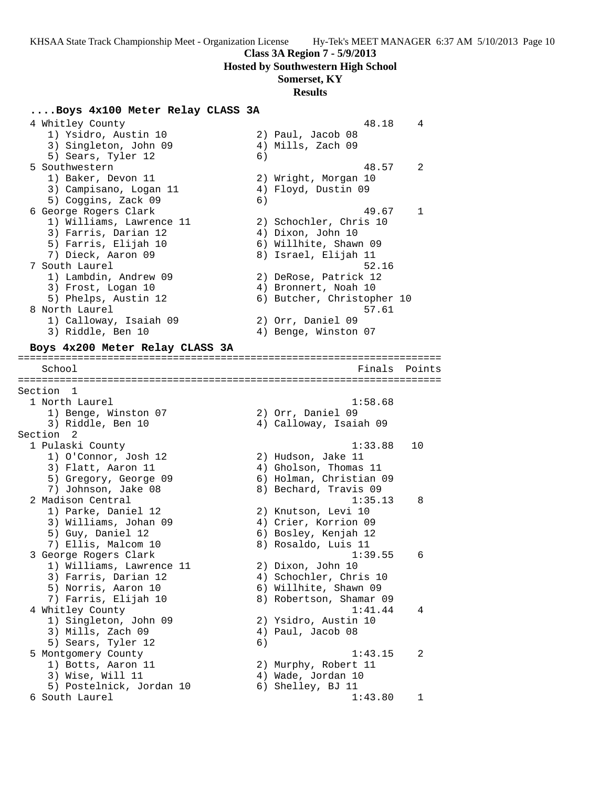### **Class 3A Region 7 - 5/9/2013**

**Hosted by Southwestern High School**

### **Somerset, KY**

#### **Results**

# **....Boys 4x100 Meter Relay CLASS 3A**

 4 Whitley County 48.18 4 1) Ysidro, Austin 10 2) Paul, Jacob 08 3) Singleton, John 09 4) Mills, Zach 09 5) Sears, Tyler 12 (6) 5 Southwestern 48.57 2 1) Baker, Devon 11 2) Wright, Morgan 10 3) Campisano, Logan 11 4) Floyd, Dustin 09 5) Coggins, Zack 09 (6) 6 George Rogers Clark 49.67 1 1) Williams, Lawrence 11 2) Schochler, Chris 10 3) Farris, Darian 12 (4) Dixon, John 10 5) Farris, Elijah 10 6) Willhite, Shawn 09 7) Dieck, Aaron 09 8) Israel, Elijah 11 7 South Laurel 62.16 1) Lambdin, Andrew 09 2) DeRose, Patrick 12 3) Frost, Logan 10 4) Bronnert, Noah 10 5) Phelps, Austin 12 6) Butcher, Christopher 10 8 North Laurel **68 North Laurel** 69 North 1980 and 1980 and 1980 and 1980 and 1980 and 1980 and 1980 and 1980 and 1980 and 1980 and 1980 and 1980 and 1980 and 1980 and 1980 and 1980 and 1980 and 1980 and 1980 and 1980 and 1) Calloway, Isaiah 09 2) Orr, Daniel 09 3) Riddle, Ben 10 (4) Benge, Winston 07 **Boys 4x200 Meter Relay CLASS 3A** ======================================================================= School **Finals Points** ======================================================================= Section 1 1 North Laurel 1:58.68 1) Benge, Winston 07 (2) Orr, Daniel 09 3) Riddle, Ben 10 4) Calloway, Isaiah 09 Section 2 1 Pulaski County 1:33.88 10 1) O'Connor, Josh 12 2) Hudson, Jake 11 3) Flatt, Aaron 11 4) Gholson, Thomas 11 5) Gregory, George 09 6) Holman, Christian 09 7) Johnson, Jake 08 8) Bechard, Travis 09 2 Madison Central 2 (1:35.13 8) 1) Parke, Daniel 12 2) Knutson, Levi 10 3) Williams, Johan 09  $\hskip1cm \hskip 1cm 4)$  Crier, Korrion 09 5) Guy, Daniel 12 6) Bosley, Kenjah 12 7) Ellis, Malcom 10 (8) Rosaldo, Luis 11 3 George Rogers Clark 1:39.55 6 1) Williams, Lawrence 11 2) Dixon, John 10 3) Farris, Darian 12 4) Schochler, Chris 10 5) Norris, Aaron 10 6) Willhite, Shawn 09 7) Farris, Elijah 10 8) Robertson, Shamar 09 4 Whitley County 1:41.44 4 1) Singleton, John 09 2) Ysidro, Austin 10 3) Mills, Zach 09 (4) Paul, Jacob 08 5) Sears, Tyler 12 (6) 5 Montgomery County 1:43.15 2 1) Botts, Aaron 11 2) Murphy, Robert 11 3) Wise, Will 11 4) Wade, Jordan 10 5) Postelnick, Jordan 10 (6) Shelley, BJ 11 6 South Laurel 1:43.80 1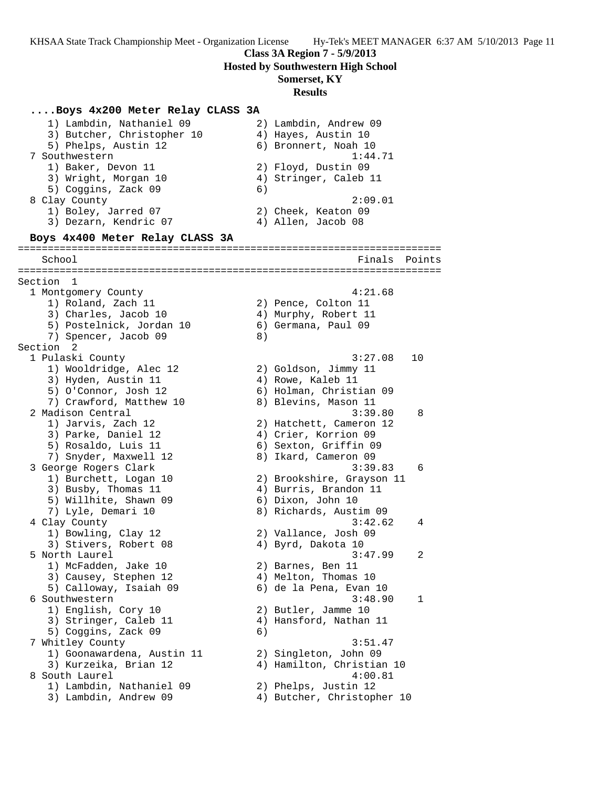### **Class 3A Region 7 - 5/9/2013**

**Hosted by Southwestern High School**

# **Somerset, KY**

**Results**

**....Boys 4x200 Meter Relay CLASS 3A** 1) Lambdin, Nathaniel 09 2) Lambdin, Andrew 09 3) Butcher, Christopher 10 4) Hayes, Austin 10 5) Phelps, Austin 12 (6) Bronnert, Noah 10 7 Southwestern 1:44.71 1) Baker, Devon 11 2) Floyd, Dustin 09 3) Wright, Morgan 10  $\hskip1cm$  4) Stringer, Caleb 11 5) Coggins, Zack 09 (6) 8 Clay County 2:09.01 1) Boley, Jarred 07 2) Cheek, Keaton 09 3) Dezarn, Kendric 07 (4) Allen, Jacob 08 **Boys 4x400 Meter Relay CLASS 3A** ======================================================================= School Finals Points ======================================================================= Section 1 1 Montgomery County 4:21.68 1) Roland, Zach 11 2) Pence, Colton 11 3) Charles, Jacob 10 (4) Murphy, Robert 11 5) Postelnick, Jordan 10 6) Germana, Paul 09 7) Spencer, Jacob 09 8) Section 2<br>1 Pulaski County 1 Pulaski County 3:27.08 10 1) Wooldridge, Alec 12 2) Goldson, Jimmy 11 3) Hyden, Austin 11 (4) Rowe, Kaleb 11 5) O'Connor, Josh 12 6) Holman, Christian 09 7) Crawford, Matthew 10 8) Blevins, Mason 11 2 Madison Central 3:39.80 8 1) Jarvis, Zach 12 2) Hatchett, Cameron 12 3) Parke, Daniel 12 4) Crier, Korrion 09 5) Rosaldo, Luis 11 6) Sexton, Griffin 09 7) Snyder, Maxwell 12 8) Ikard, Cameron 09 3 George Rogers Clark 3:39.83 6 1) Burchett, Logan 10 2) Brookshire, Grayson 11 3) Busby, Thomas 11 4) Burris, Brandon 11 5) Willhite, Shawn 09 6) Dixon, John 10 7) Lyle, Demari 10 8) Richards, Austim 09 4 Clay County 3:42.62 4 1) Bowling, Clay 12 2) Vallance, Josh 09 3) Stivers, Robert 08 (4) Byrd, Dakota 10 5 North Laurel 3:47.99 2 1) McFadden, Jake 10 2) Barnes, Ben 11 3) Causey, Stephen 12 4) Melton, Thomas 10 5) Calloway, Isaiah 09 6) de la Pena, Evan 10 6 Southwestern 3:48.90 1 1) English, Cory 10 2) Butler, Jamme 10 3) Stringer, Caleb 11 4) Hansford, Nathan 11 5) Coggins, Zack 09 (6) 7 Whitley County 3:51.47 1) Goonawardena, Austin 11 2) Singleton, John 09 3) Kurzeika, Brian 12 4) Hamilton, Christian 10 8 South Laurel 4:00.81 1) Lambdin, Nathaniel 09 2) Phelps, Justin 12 3) Lambdin, Andrew 09 4) Butcher, Christopher 10